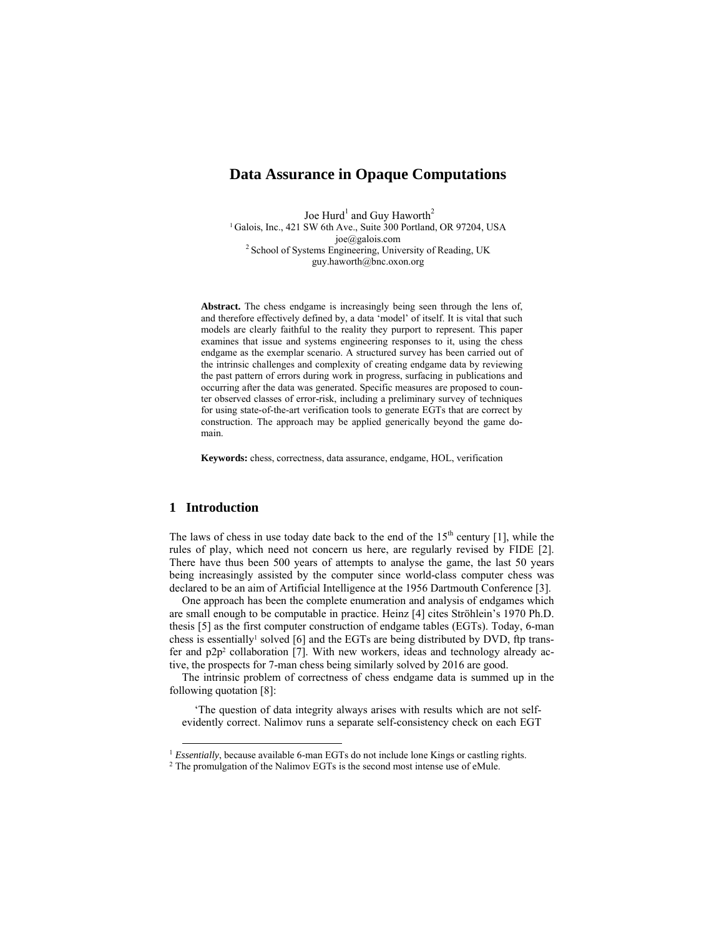# **Data Assurance in Opaque Computations**

Joe Hurd<sup>1</sup> and Guy Haworth<sup>2</sup> <sup>1</sup> Galois, Inc., 421 SW 6th Ave., Suite 300 Portland, OR 97204, USA joe@galois.com<br><sup>2</sup> School of Systems Engineering, University of Reading, UK guy.haworth@bnc.oxon.org

**Abstract.** The chess endgame is increasingly being seen through the lens of, and therefore effectively defined by, a data 'model' of itself. It is vital that such models are clearly faithful to the reality they purport to represent. This paper examines that issue and systems engineering responses to it, using the chess endgame as the exemplar scenario. A structured survey has been carried out of the intrinsic challenges and complexity of creating endgame data by reviewing the past pattern of errors during work in progress, surfacing in publications and occurring after the data was generated. Specific measures are proposed to counter observed classes of error-risk, including a preliminary survey of techniques for using state-of-the-art verification tools to generate EGTs that are correct by construction. The approach may be applied generically beyond the game domain.

**Keywords:** chess, correctness, data assurance, endgame, HOL, verification

### **1 Introduction**

The laws of chess in use today date back to the end of the  $15<sup>th</sup>$  century [1], while the rules of play, which need not concern us here, are regularly revised by FIDE [2]. There have thus been 500 years of attempts to analyse the game, the last 50 years being increasingly assisted by the computer since world-class computer chess was declared to be an aim of Artificial Intelligence at the 1956 Dartmouth Conference [3].

One approach has been the complete enumeration and analysis of endgames which are small enough to be computable in practice. Heinz [4] cites Ströhlein's 1970 Ph.D. thesis [5] as the first computer construction of endgame tables (EGTs). Today, 6-man chess is essentially<sup>1</sup> solved [6] and the EGTs are being distributed by DVD, ftp transfer and p2p<sup>2</sup> collaboration [7]. With new workers, ideas and technology already active, the prospects for 7-man chess being similarly solved by 2016 are good.

The intrinsic problem of correctness of chess endgame data is summed up in the following quotation [8]:

'The question of data integrity always arises with results which are not selfevidently correct. Nalimov runs a separate self-consistency check on each EGT

<sup>&</sup>lt;sup>1</sup> *Essentially*, because available 6-man EGTs do not include lone Kings or castling rights.

 $2$  The promulgation of the Nalimov EGTs is the second most intense use of eMule.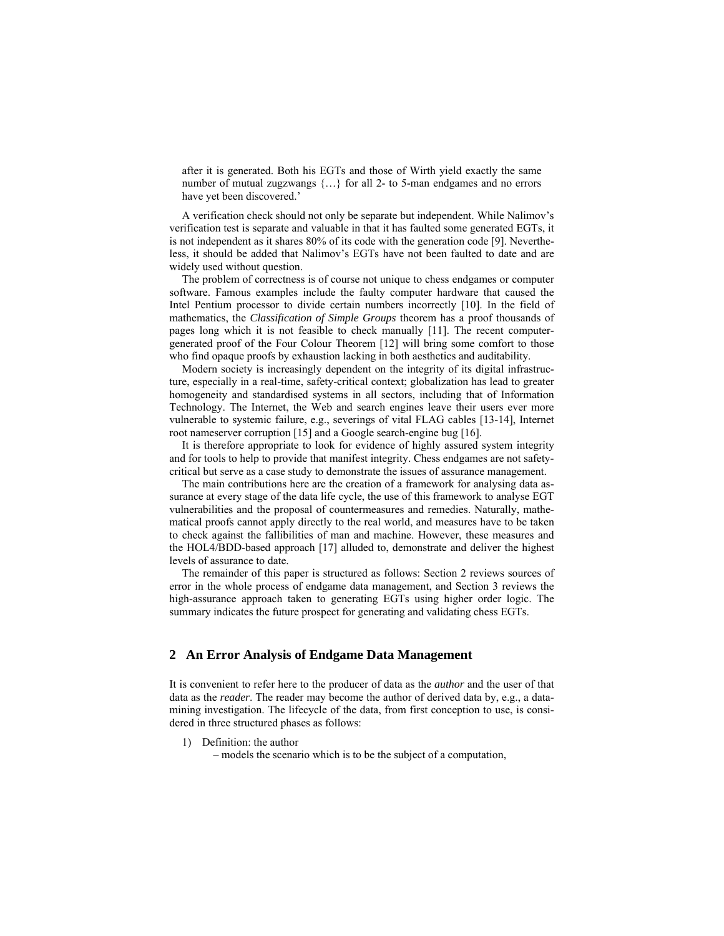after it is generated. Both his EGTs and those of Wirth yield exactly the same number of mutual zugzwangs {…} for all 2- to 5-man endgames and no errors have yet been discovered.'

A verification check should not only be separate but independent. While Nalimov's verification test is separate and valuable in that it has faulted some generated EGTs, it is not independent as it shares 80% of its code with the generation code [9]. Nevertheless, it should be added that Nalimov's EGTs have not been faulted to date and are widely used without question.

The problem of correctness is of course not unique to chess endgames or computer software. Famous examples include the faulty computer hardware that caused the Intel Pentium processor to divide certain numbers incorrectly [10]. In the field of mathematics, the *Classification of Simple Groups* theorem has a proof thousands of pages long which it is not feasible to check manually [11]. The recent computergenerated proof of the Four Colour Theorem [12] will bring some comfort to those who find opaque proofs by exhaustion lacking in both aesthetics and auditability.

Modern society is increasingly dependent on the integrity of its digital infrastructure, especially in a real-time, safety-critical context; globalization has lead to greater homogeneity and standardised systems in all sectors, including that of Information Technology. The Internet, the Web and search engines leave their users ever more vulnerable to systemic failure, e.g., severings of vital FLAG cables [13-14], Internet root nameserver corruption [15] and a Google search-engine bug [16].

It is therefore appropriate to look for evidence of highly assured system integrity and for tools to help to provide that manifest integrity. Chess endgames are not safetycritical but serve as a case study to demonstrate the issues of assurance management.

The main contributions here are the creation of a framework for analysing data assurance at every stage of the data life cycle, the use of this framework to analyse EGT vulnerabilities and the proposal of countermeasures and remedies. Naturally, mathematical proofs cannot apply directly to the real world, and measures have to be taken to check against the fallibilities of man and machine. However, these measures and the HOL4/BDD-based approach [17] alluded to, demonstrate and deliver the highest levels of assurance to date.

The remainder of this paper is structured as follows: Section 2 reviews sources of error in the whole process of endgame data management, and Section 3 reviews the high-assurance approach taken to generating EGTs using higher order logic. The summary indicates the future prospect for generating and validating chess EGTs.

### **2 An Error Analysis of Endgame Data Management**

It is convenient to refer here to the producer of data as the *author* and the user of that data as the *reader*. The reader may become the author of derived data by, e.g., a datamining investigation. The lifecycle of the data, from first conception to use, is considered in three structured phases as follows:

1) Definition: the author

– models the scenario which is to be the subject of a computation,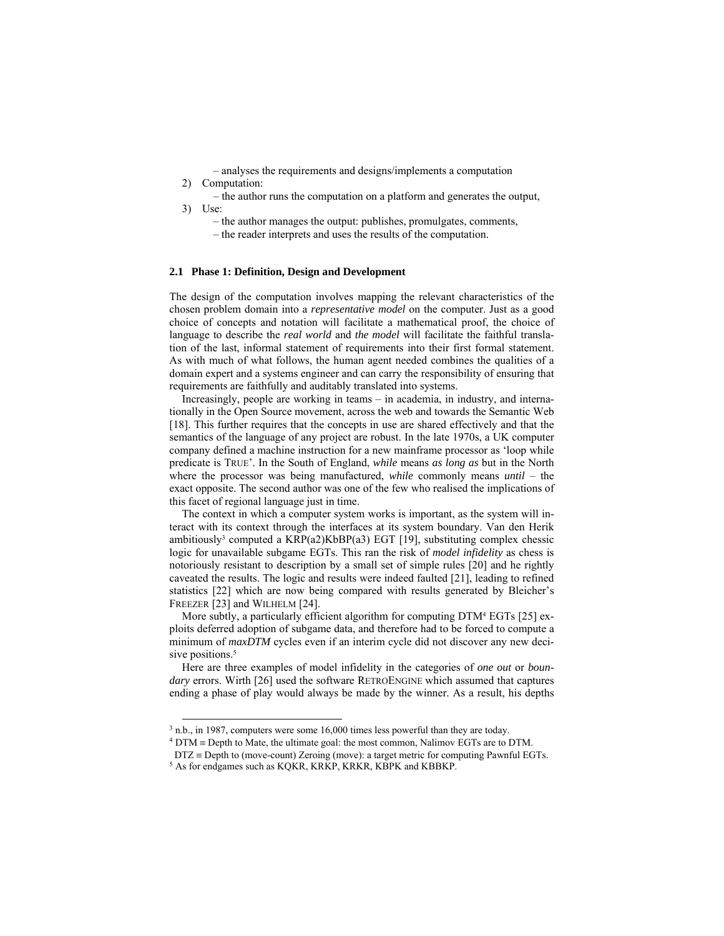– analyses the requirements and designs/implements a computation

- 2) Computation:
- the author runs the computation on a platform and generates the output, 3) Use:
	- the author manages the output: publishes, promulgates, comments,
	- the reader interprets and uses the results of the computation.

#### **2.1 Phase 1: Definition, Design and Development**

The design of the computation involves mapping the relevant characteristics of the chosen problem domain into a *representative model* on the computer. Just as a good choice of concepts and notation will facilitate a mathematical proof, the choice of language to describe the *real world* and *the model* will facilitate the faithful translation of the last, informal statement of requirements into their first formal statement. As with much of what follows, the human agent needed combines the qualities of a domain expert and a systems engineer and can carry the responsibility of ensuring that requirements are faithfully and auditably translated into systems.

Increasingly, people are working in teams – in academia, in industry, and internationally in the Open Source movement, across the web and towards the Semantic Web [18]. This further requires that the concepts in use are shared effectively and that the semantics of the language of any project are robust. In the late 1970s, a UK computer company defined a machine instruction for a new mainframe processor as 'loop while predicate is TRUE'. In the South of England, *while* means *as long as* but in the North where the processor was being manufactured, *while* commonly means *until* – the exact opposite. The second author was one of the few who realised the implications of this facet of regional language just in time.

The context in which a computer system works is important, as the system will interact with its context through the interfaces at its system boundary. Van den Herik ambitiously<sup>3</sup> computed a KRP(a2)KbBP(a3) EGT [19], substituting complex chessic logic for unavailable subgame EGTs. This ran the risk of *model infidelity* as chess is notoriously resistant to description by a small set of simple rules [20] and he rightly caveated the results. The logic and results were indeed faulted [21], leading to refined statistics [22] which are now being compared with results generated by Bleicher's FREEZER [23] and WILHELM [24].

More subtly, a particularly efficient algorithm for computing DTM<sup>4</sup> EGTs [25] exploits deferred adoption of subgame data, and therefore had to be forced to compute a minimum of *maxDTM* cycles even if an interim cycle did not discover any new decisive positions.<sup>5</sup>

Here are three examples of model infidelity in the categories of *one out* or *boundary* errors. Wirth [26] used the software RETROENGINE which assumed that captures ending a phase of play would always be made by the winner. As a result, his depths

 <sup>3</sup> n.b., in 1987, computers were some 16,000 times less powerful than they are today.

 $4$  DTM  $\equiv$  Depth to Mate, the ultimate goal: the most common, Nalimov EGTs are to DTM.

 $DTZ = Depth$  to (move-count) Zeroing (move): a target metric for computing Pawnful EGTs.

As for endgames such as KQKR, KRKP, KRKR, KBPK and KBBKP.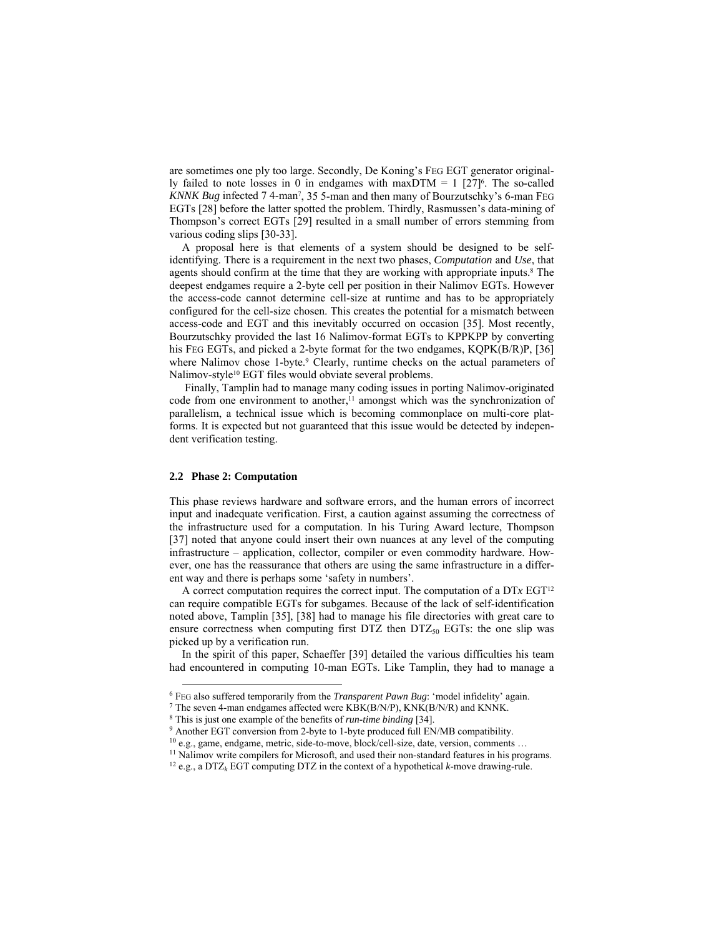are sometimes one ply too large. Secondly, De Koning's FEG EGT generator originally failed to note losses in 0 in endgames with maxDTM =  $1 \frac{27}{6}$ . The so-called *KNNK Bug* infected 7 4-man<sup>7</sup>, 35 5-man and then many of Bourzutschky's 6-man FEG EGTs [28] before the latter spotted the problem. Thirdly, Rasmussen's data-mining of Thompson's correct EGTs [29] resulted in a small number of errors stemming from various coding slips [30-33].

A proposal here is that elements of a system should be designed to be selfidentifying. There is a requirement in the next two phases, *Computation* and *Use*, that agents should confirm at the time that they are working with appropriate inputs.<sup>8</sup> The deepest endgames require a 2-byte cell per position in their Nalimov EGTs. However the access-code cannot determine cell-size at runtime and has to be appropriately configured for the cell-size chosen. This creates the potential for a mismatch between access-code and EGT and this inevitably occurred on occasion [35]. Most recently, Bourzutschky provided the last 16 Nalimov-format EGTs to KPPKPP by converting his FEG EGTs, and picked a 2-byte format for the two endgames, KQPK(B/R)P, [36] where Nalimov chose 1-byte.<sup>9</sup> Clearly, runtime checks on the actual parameters of Nalimov-style<sup>10</sup> EGT files would obviate several problems.

 Finally, Tamplin had to manage many coding issues in porting Nalimov-originated code from one environment to another,<sup>11</sup> amongst which was the synchronization of parallelism, a technical issue which is becoming commonplace on multi-core platforms. It is expected but not guaranteed that this issue would be detected by independent verification testing.

#### **2.2 Phase 2: Computation**

This phase reviews hardware and software errors, and the human errors of incorrect input and inadequate verification. First, a caution against assuming the correctness of the infrastructure used for a computation. In his Turing Award lecture, Thompson [37] noted that anyone could insert their own nuances at any level of the computing infrastructure – application, collector, compiler or even commodity hardware. However, one has the reassurance that others are using the same infrastructure in a different way and there is perhaps some 'safety in numbers'.

A correct computation requires the correct input. The computation of a DT*x* EGT<sup>12</sup> can require compatible EGTs for subgames. Because of the lack of self-identification noted above, Tamplin [35], [38] had to manage his file directories with great care to ensure correctness when computing first DTZ then  $DTZ_{50}$  EGTs: the one slip was picked up by a verification run.

In the spirit of this paper, Schaeffer [39] detailed the various difficulties his team had encountered in computing 10-man EGTs. Like Tamplin, they had to manage a

 <sup>6</sup> FEG also suffered temporarily from the *Transparent Pawn Bug*: 'model infidelity' again.

 $7$  The seven 4-man endgames affected were KBK(B/N/P), KNK(B/N/R) and KNNK.

<sup>8</sup> This is just one example of the benefits of *run-time binding* [34].<br><sup>9</sup> Another EGT conversion from 2-byte to 1-byte produced full EN/MB compatibility.<br><sup>10</sup> e.g., game, endgame, metric, side-to-move, block/cell-size, da

<sup>&</sup>lt;sup>11</sup> Nalimov write compilers for Microsoft, and used their non-standard features in his programs.

<sup>12</sup> e.g., a DTZ*k* EGT computing DTZ in the context of a hypothetical *k*-move drawing-rule.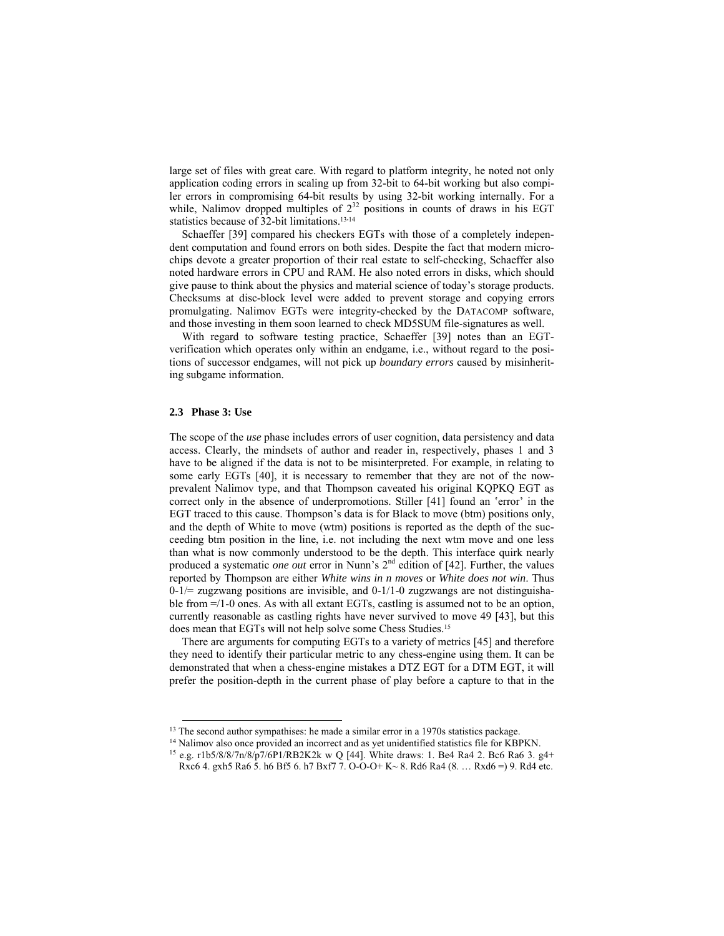large set of files with great care. With regard to platform integrity, he noted not only application coding errors in scaling up from 32-bit to 64-bit working but also compiler errors in compromising 64-bit results by using 32-bit working internally. For a while, Nalimov dropped multiples of  $2^{32}$  positions in counts of draws in his EGT statistics because of  $32$ -bit limitations.<sup>13,14</sup>

Schaeffer [39] compared his checkers EGTs with those of a completely independent computation and found errors on both sides. Despite the fact that modern microchips devote a greater proportion of their real estate to self-checking, Schaeffer also noted hardware errors in CPU and RAM. He also noted errors in disks, which should give pause to think about the physics and material science of today's storage products. Checksums at disc-block level were added to prevent storage and copying errors promulgating. Nalimov EGTs were integrity-checked by the DATACOMP software, and those investing in them soon learned to check MD5SUM file-signatures as well.

With regard to software testing practice, Schaeffer [39] notes than an EGTverification which operates only within an endgame, i.e., without regard to the positions of successor endgames, will not pick up *boundary errors* caused by misinheriting subgame information.

#### **2.3 Phase 3: Use**

The scope of the *use* phase includes errors of user cognition, data persistency and data access. Clearly, the mindsets of author and reader in, respectively, phases 1 and 3 have to be aligned if the data is not to be misinterpreted. For example, in relating to some early EGTs [40], it is necessary to remember that they are not of the nowprevalent Nalimov type, and that Thompson caveated his original KQPKQ EGT as correct only in the absence of underpromotions. Stiller [41] found an 'error' in the EGT traced to this cause. Thompson's data is for Black to move (btm) positions only, and the depth of White to move (wtm) positions is reported as the depth of the succeeding btm position in the line, i.e. not including the next wtm move and one less than what is now commonly understood to be the depth. This interface quirk nearly produced a systematic *one out* error in Nunn's 2<sup>nd</sup> edition of [42]. Further, the values reported by Thompson are either *White wins in n moves* or *White does not win*. Thus 0-1/= zugzwang positions are invisible, and 0-1/1-0 zugzwangs are not distinguishable from =/1-0 ones. As with all extant EGTs, castling is assumed not to be an option, currently reasonable as castling rights have never survived to move 49 [43], but this does mean that EGTs will not help solve some Chess Studies.15

There are arguments for computing EGTs to a variety of metrics [45] and therefore they need to identify their particular metric to any chess-engine using them. It can be demonstrated that when a chess-engine mistakes a DTZ EGT for a DTM EGT, it will prefer the position-depth in the current phase of play before a capture to that in the

<sup>&</sup>lt;sup>13</sup> The second author sympathises: he made a similar error in a 1970s statistics package.

<sup>&</sup>lt;sup>14</sup> Nalimov also once provided an incorrect and as yet unidentified statistics file for KBPKN.<br><sup>15</sup> e.g. r1b5/8/8/7n/8/p7/6P1/RB2K2k w Q [44]. White draws: 1. Be4 Ra4 2. Bc6 Ra6 3. g4+

Rxc6 4. gxh5 Ra6 5. h6 Bf5 6. h7 Bxf7 7. O-O-O+ K~ 8. Rd6 Ra4 (8. … Rxd6 =) 9. Rd4 etc.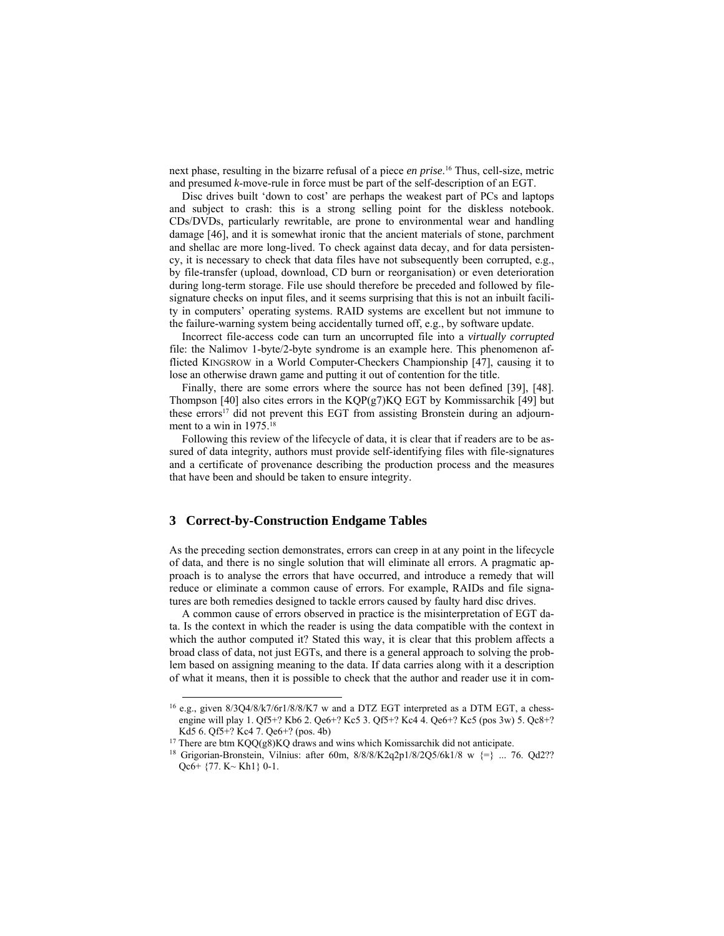next phase, resulting in the bizarre refusal of a piece *en prise*. 16 Thus, cell-size, metric and presumed *k*-move-rule in force must be part of the self-description of an EGT.

Disc drives built 'down to cost' are perhaps the weakest part of PCs and laptops and subject to crash: this is a strong selling point for the diskless notebook. CDs/DVDs, particularly rewritable, are prone to environmental wear and handling damage [46], and it is somewhat ironic that the ancient materials of stone, parchment and shellac are more long-lived. To check against data decay, and for data persistency, it is necessary to check that data files have not subsequently been corrupted, e.g., by file-transfer (upload, download, CD burn or reorganisation) or even deterioration during long-term storage. File use should therefore be preceded and followed by filesignature checks on input files, and it seems surprising that this is not an inbuilt facility in computers' operating systems. RAID systems are excellent but not immune to the failure-warning system being accidentally turned off, e.g., by software update.

Incorrect file-access code can turn an uncorrupted file into a *virtually corrupted*  file: the Nalimov 1-byte/2-byte syndrome is an example here. This phenomenon afflicted KINGSROW in a World Computer-Checkers Championship [47], causing it to lose an otherwise drawn game and putting it out of contention for the title.

Finally, there are some errors where the source has not been defined [39], [48]. Thompson [40] also cites errors in the  $KQP(g7)KQ$  EGT by Kommissarchik [49] but these errors<sup>17</sup> did not prevent this EGT from assisting Bronstein during an adjournment to a win in 1975.<sup>18</sup>

Following this review of the lifecycle of data, it is clear that if readers are to be assured of data integrity, authors must provide self-identifying files with file-signatures and a certificate of provenance describing the production process and the measures that have been and should be taken to ensure integrity.

### **3 Correct-by-Construction Endgame Tables**

As the preceding section demonstrates, errors can creep in at any point in the lifecycle of data, and there is no single solution that will eliminate all errors. A pragmatic approach is to analyse the errors that have occurred, and introduce a remedy that will reduce or eliminate a common cause of errors. For example, RAIDs and file signatures are both remedies designed to tackle errors caused by faulty hard disc drives.

A common cause of errors observed in practice is the misinterpretation of EGT data. Is the context in which the reader is using the data compatible with the context in which the author computed it? Stated this way, it is clear that this problem affects a broad class of data, not just EGTs, and there is a general approach to solving the problem based on assigning meaning to the data. If data carries along with it a description of what it means, then it is possible to check that the author and reader use it in com-

 <sup>16</sup> e.g., given 8/3Q4/8/k7/6r1/8/8/K7 w and a DTZ EGT interpreted as a DTM EGT, a chessengine will play 1. Qf5+? Kb6 2. Qe6+? Kc5 3. Qf5+? Kc4 4. Qe6+? Kc5 (pos 3w) 5. Qc8+? Kd5 6. Qf5+? Kc4 7. Qe6+? (pos. 4b)<br><sup>17</sup> There are btm KOO(g8)KO draws and wins which Komissarchik did not anticipate.

<sup>&</sup>lt;sup>18</sup> Grigorian-Bronstein, Vilnius: after 60m, 8/8/8/K2q2p1/8/2Q5/6k1/8 w {=} ... 76. Qd2?? Qc6+ {77. K~ Kh1} 0-1.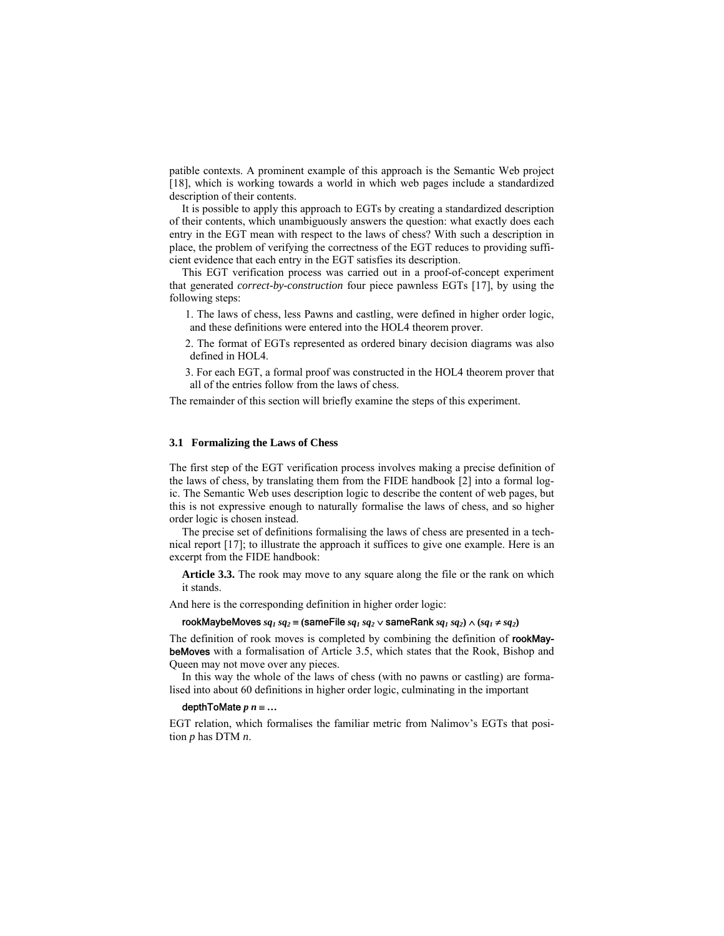patible contexts. A prominent example of this approach is the Semantic Web project [18], which is working towards a world in which web pages include a standardized description of their contents.

It is possible to apply this approach to EGTs by creating a standardized description of their contents, which unambiguously answers the question: what exactly does each entry in the EGT mean with respect to the laws of chess? With such a description in place, the problem of verifying the correctness of the EGT reduces to providing sufficient evidence that each entry in the EGT satisfies its description.

This EGT verification process was carried out in a proof-of-concept experiment that generated *correct-by-construction* four piece pawnless EGTs [17], by using the following steps:

- 1. The laws of chess, less Pawns and castling, were defined in higher order logic, and these definitions were entered into the HOL4 theorem prover.
- 2. The format of EGTs represented as ordered binary decision diagrams was also defined in HOL4.

3. For each EGT, a formal proof was constructed in the HOL4 theorem prover that all of the entries follow from the laws of chess.

The remainder of this section will briefly examine the steps of this experiment.

#### **3.1 Formalizing the Laws of Chess**

The first step of the EGT verification process involves making a precise definition of the laws of chess, by translating them from the FIDE handbook [2] into a formal logic. The Semantic Web uses description logic to describe the content of web pages, but this is not expressive enough to naturally formalise the laws of chess, and so higher order logic is chosen instead.

The precise set of definitions formalising the laws of chess are presented in a technical report [17]; to illustrate the approach it suffices to give one example. Here is an excerpt from the FIDE handbook:

**Article 3.3.** The rook may move to any square along the file or the rank on which it stands.

And here is the corresponding definition in higher order logic:

#### rookMaybeMoves  $sq_1 sq_2$  ≡ (sameFile  $sq_1 sq_2$   $\vee$  sameRank  $sq_1 sq_2$ )  $\wedge$   $(sq_1 \neq sq_2)$

The definition of rook moves is completed by combining the definition of rookMaybeMoves with a formalisation of Article 3.5, which states that the Rook, Bishop and Queen may not move over any pieces.

In this way the whole of the laws of chess (with no pawns or castling) are formalised into about 60 definitions in higher order logic, culminating in the important

#### depthToMate  $p \neq n = \ldots$

EGT relation, which formalises the familiar metric from Nalimov's EGTs that position *p* has DTM *n*.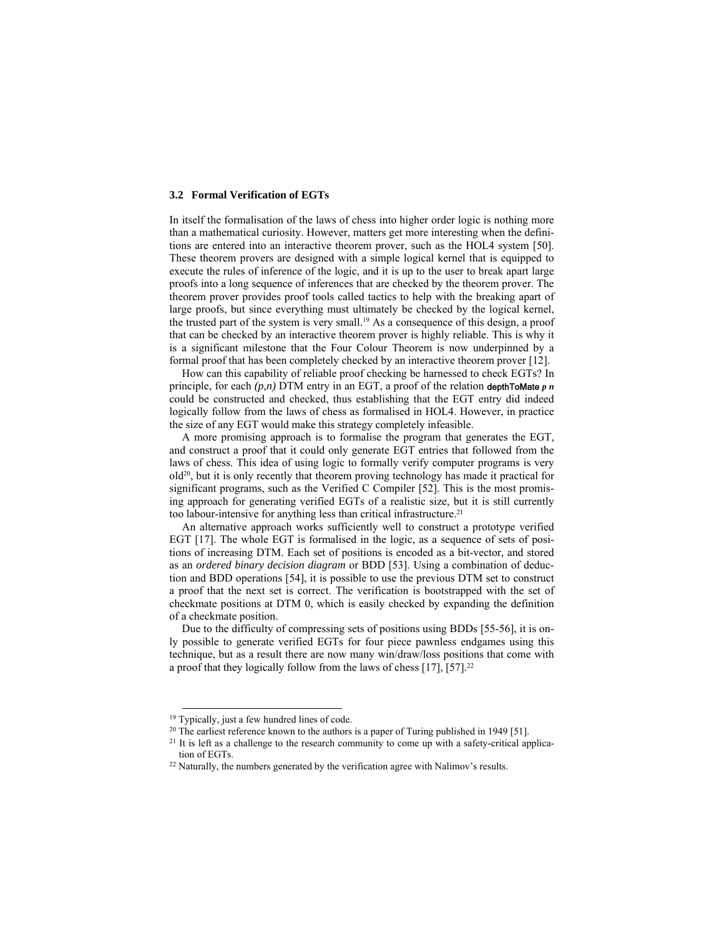#### **3.2 Formal Verification of EGTs**

In itself the formalisation of the laws of chess into higher order logic is nothing more than a mathematical curiosity. However, matters get more interesting when the definitions are entered into an interactive theorem prover, such as the HOL4 system [50]. These theorem provers are designed with a simple logical kernel that is equipped to execute the rules of inference of the logic, and it is up to the user to break apart large proofs into a long sequence of inferences that are checked by the theorem prover. The theorem prover provides proof tools called tactics to help with the breaking apart of large proofs, but since everything must ultimately be checked by the logical kernel, the trusted part of the system is very small.<sup>19</sup> As a consequence of this design, a proof that can be checked by an interactive theorem prover is highly reliable. This is why it is a significant milestone that the Four Colour Theorem is now underpinned by a formal proof that has been completely checked by an interactive theorem prover [12].

How can this capability of reliable proof checking be harnessed to check EGTs? In principle, for each  $(p,n)$  DTM entry in an EGT, a proof of the relation **depthToMate**  $p \, n$ could be constructed and checked, thus establishing that the EGT entry did indeed logically follow from the laws of chess as formalised in HOL4. However, in practice the size of any EGT would make this strategy completely infeasible.

A more promising approach is to formalise the program that generates the EGT, and construct a proof that it could only generate EGT entries that followed from the laws of chess. This idea of using logic to formally verify computer programs is very  $old<sup>20</sup>$ , but it is only recently that theorem proving technology has made it practical for significant programs, such as the Verified C Compiler [52]. This is the most promising approach for generating verified EGTs of a realistic size, but it is still currently too labour-intensive for anything less than critical infrastructure.21

An alternative approach works sufficiently well to construct a prototype verified EGT [17]. The whole EGT is formalised in the logic, as a sequence of sets of positions of increasing DTM. Each set of positions is encoded as a bit-vector, and stored as an *ordered binary decision diagram* or BDD [53]. Using a combination of deduction and BDD operations [54], it is possible to use the previous DTM set to construct a proof that the next set is correct. The verification is bootstrapped with the set of checkmate positions at DTM 0, which is easily checked by expanding the definition of a checkmate position.

Due to the difficulty of compressing sets of positions using BDDs [55-56], it is only possible to generate verified EGTs for four piece pawnless endgames using this technique, but as a result there are now many win/draw/loss positions that come with a proof that they logically follow from the laws of chess [17], [57].22

<sup>&</sup>lt;sup>19</sup> Typically, just a few hundred lines of code.

<sup>&</sup>lt;sup>20</sup> The earliest reference known to the authors is a paper of Turing published in 1949 [51].

<sup>&</sup>lt;sup>21</sup> It is left as a challenge to the research community to come up with a safety-critical application of EGTs. 22 Naturally, the numbers generated by the verification agree with Nalimov's results.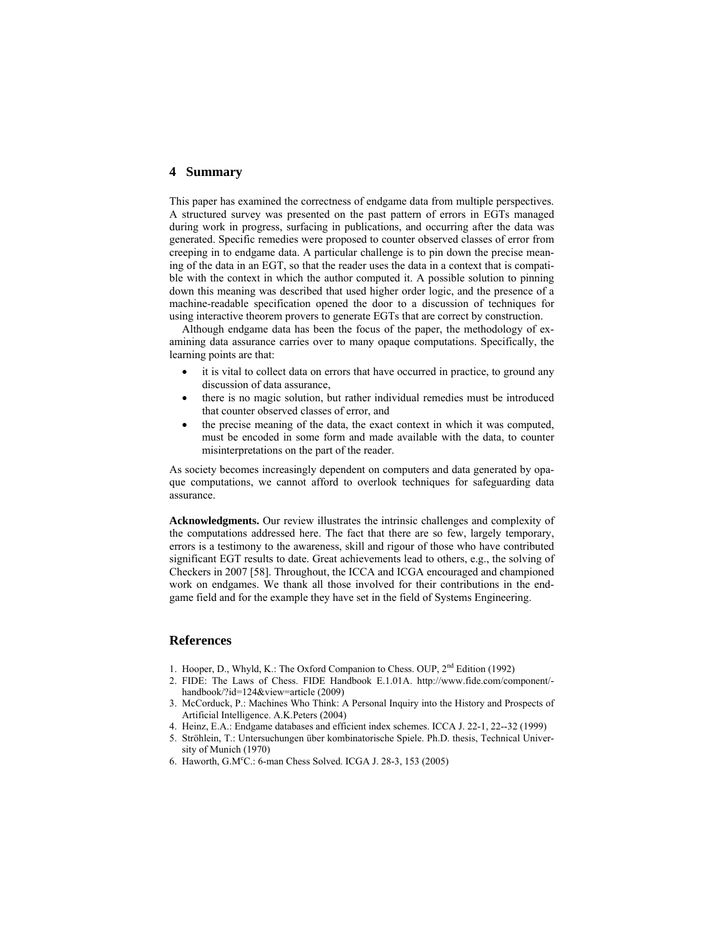## **4 Summary**

This paper has examined the correctness of endgame data from multiple perspectives. A structured survey was presented on the past pattern of errors in EGTs managed during work in progress, surfacing in publications, and occurring after the data was generated. Specific remedies were proposed to counter observed classes of error from creeping in to endgame data. A particular challenge is to pin down the precise meaning of the data in an EGT, so that the reader uses the data in a context that is compatible with the context in which the author computed it. A possible solution to pinning down this meaning was described that used higher order logic, and the presence of a machine-readable specification opened the door to a discussion of techniques for using interactive theorem provers to generate EGTs that are correct by construction.

Although endgame data has been the focus of the paper, the methodology of examining data assurance carries over to many opaque computations. Specifically, the learning points are that:

- it is vital to collect data on errors that have occurred in practice, to ground any discussion of data assurance,
- there is no magic solution, but rather individual remedies must be introduced that counter observed classes of error, and
- the precise meaning of the data, the exact context in which it was computed, must be encoded in some form and made available with the data, to counter misinterpretations on the part of the reader.

As society becomes increasingly dependent on computers and data generated by opaque computations, we cannot afford to overlook techniques for safeguarding data assurance.

**Acknowledgments.** Our review illustrates the intrinsic challenges and complexity of the computations addressed here. The fact that there are so few, largely temporary, errors is a testimony to the awareness, skill and rigour of those who have contributed significant EGT results to date. Great achievements lead to others, e.g., the solving of Checkers in 2007 [58]. Throughout, the ICCA and ICGA encouraged and championed work on endgames. We thank all those involved for their contributions in the endgame field and for the example they have set in the field of Systems Engineering.

### **References**

- 1. Hooper, D., Whyld, K.: The Oxford Companion to Chess. OUP, 2nd Edition (1992)
- 2. FIDE: The Laws of Chess. FIDE Handbook E.1.01A. http://www.fide.com/component/ handbook/?id=124&view=article (2009)
- 3. McCorduck, P.: Machines Who Think: A Personal Inquiry into the History and Prospects of Artificial Intelligence. A.K.Peters (2004)
- 4. Heinz, E.A.: Endgame databases and efficient index schemes. ICCA J. 22-1, 22--32 (1999)
- 5. Ströhlein, T.: Untersuchungen über kombinatorische Spiele. Ph.D. thesis, Technical University of Munich (1970)
- 6. Haworth, G.Mc C.: 6-man Chess Solved. ICGA J. 28-3, 153 (2005)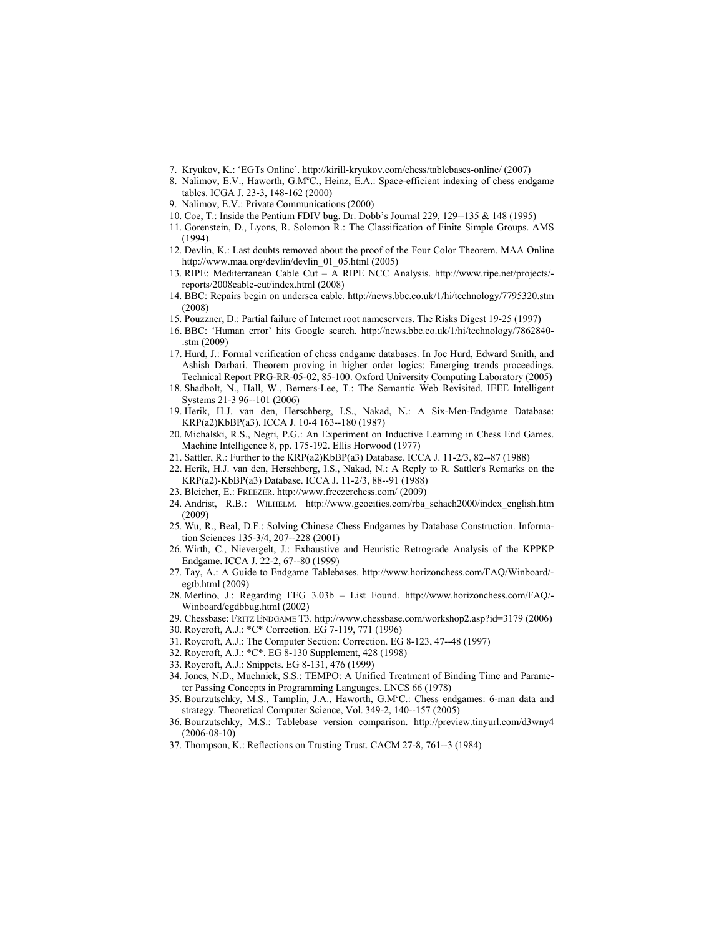- 7. Kryukov, K.: 'EGTs Online'. http://kirill-kryukov.com/chess/tablebases-online/ (2007)
- 8. Nalimov, E.V., Haworth, G.M°C., Heinz, E.A.: Space-efficient indexing of chess endgame tables. ICGA J. 23-3, 148-162 (2000)
- 9. Nalimov, E.V.: Private Communications (2000)
- 10. Coe, T.: Inside the Pentium FDIV bug. Dr. Dobb's Journal 229, 129--135 & 148 (1995)
- 11. Gorenstein, D., Lyons, R. Solomon R.: The Classification of Finite Simple Groups. AMS (1994).
- 12. Devlin, K.: Last doubts removed about the proof of the Four Color Theorem. MAA Online http://www.maa.org/devlin/devlin\_01\_05.html (2005)
- 13. RIPE: Mediterranean Cable Cut A RIPE NCC Analysis. http://www.ripe.net/projects/ reports/2008cable-cut/index.html (2008)
- 14. BBC: Repairs begin on undersea cable. http://news.bbc.co.uk/1/hi/technology/7795320.stm (2008)
- 15. Pouzzner, D.: Partial failure of Internet root nameservers. The Risks Digest 19-25 (1997)
- 16. BBC: 'Human error' hits Google search. http://news.bbc.co.uk/1/hi/technology/7862840- .stm (2009)
- 17. Hurd, J.: Formal verification of chess endgame databases. In Joe Hurd, Edward Smith, and Ashish Darbari. Theorem proving in higher order logics: Emerging trends proceedings. Technical Report PRG-RR-05-02, 85-100. Oxford University Computing Laboratory (2005)
- 18. Shadbolt, N., Hall, W., Berners-Lee, T.: The Semantic Web Revisited. IEEE Intelligent Systems 21-3 96--101 (2006)
- 19. Herik, H.J. van den, Herschberg, I.S., Nakad, N.: A Six-Men-Endgame Database: KRP(a2)KbBP(a3). ICCA J. 10-4 163--180 (1987)
- 20. Michalski, R.S., Negri, P.G.: An Experiment on Inductive Learning in Chess End Games. Machine Intelligence 8, pp. 175-192. Ellis Horwood (1977)
- 21. Sattler, R.: Further to the KRP(a2)KbBP(a3) Database. ICCA J. 11-2/3, 82--87 (1988)
- 22. Herik, H.J. van den, Herschberg, I.S., Nakad, N.: A Reply to R. Sattler's Remarks on the KRP(a2)-KbBP(a3) Database. ICCA J. 11-2/3, 88--91 (1988)
- 23. Bleicher, E.: FREEZER. http://www.freezerchess.com/ (2009)
- 24. Andrist, R.B.: WILHELM. http://www.geocities.com/rba\_schach2000/index\_english.htm (2009)
- 25. Wu, R., Beal, D.F.: Solving Chinese Chess Endgames by Database Construction. Information Sciences 135-3/4, 207--228 (2001)
- 26. Wirth, C., Nievergelt, J.: Exhaustive and Heuristic Retrograde Analysis of the KPPKP Endgame. ICCA J. 22-2, 67--80 (1999)
- 27. Tay, A.: A Guide to Endgame Tablebases. http://www.horizonchess.com/FAQ/Winboard/ egtb.html (2009)
- 28. Merlino, J.: Regarding FEG 3.03b List Found. http://www.horizonchess.com/FAQ/- Winboard/egdbbug.html (2002)
- 29. Chessbase: FRITZ ENDGAME T3. http://www.chessbase.com/workshop2.asp?id=3179 (2006)
- 30. Roycroft, A.J.: \*C\* Correction. EG 7-119, 771 (1996)
- 31. Roycroft, A.J.: The Computer Section: Correction. EG 8-123, 47--48 (1997)
- 32. Roycroft, A.J.: \*C\*. EG 8-130 Supplement, 428 (1998)
- 33. Roycroft, A.J.: Snippets. EG 8-131, 476 (1999)
- 34. Jones, N.D., Muchnick, S.S.: TEMPO: A Unified Treatment of Binding Time and Parameter Passing Concepts in Programming Languages. LNCS 66 (1978)
- 35. Bourzutschky, M.S., Tamplin, J.A., Haworth, G.M°C.: Chess endgames: 6-man data and strategy. Theoretical Computer Science, Vol. 349-2, 140--157 (2005)
- 36. Bourzutschky, M.S.: Tablebase version comparison. http://preview.tinyurl.com/d3wny4 (2006-08-10)
- 37. Thompson, K.: Reflections on Trusting Trust. CACM 27-8, 761--3 (1984)